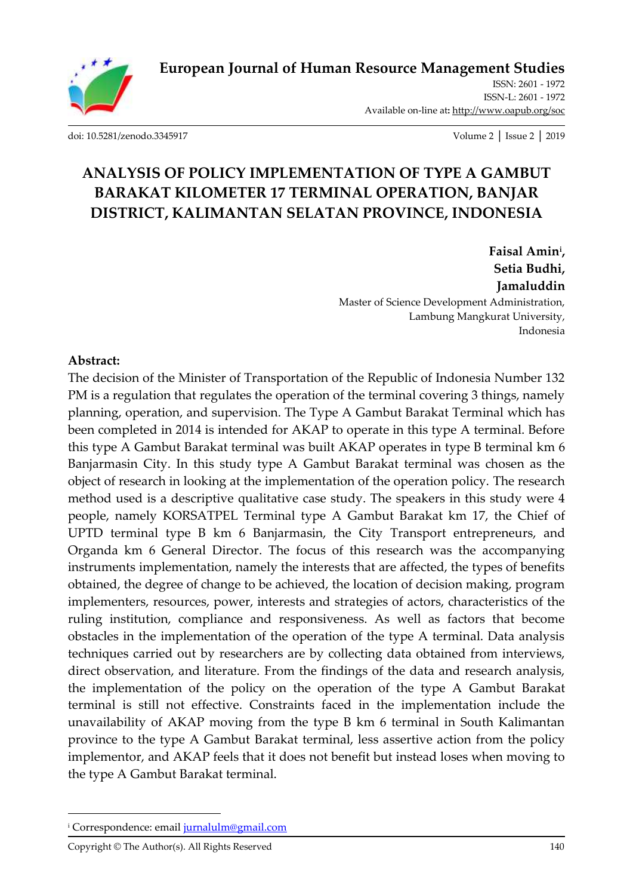

[ISSN: 2601 -](http://oapub.org/soc/index.php/EJSSS) 1972 [ISSN-L: 2601 -](http://oapub.org/soc/index.php/EJSSS) 1972 Available on-line at**:** <http://www.oapub.org/soc>

[doi: 10.5281/zenodo.3345917](http://dx.doi.org/10.5281/zenodo.3345917) Volume 2 │ Issue 2 │ 2019

# **ANALYSIS OF POLICY IMPLEMENTATION OF TYPE A GAMBUT BARAKAT KILOMETER 17 TERMINAL OPERATION, BANJAR DISTRICT, KALIMANTAN SELATAN PROVINCE, INDONESIA**

**Faisal Amin<sup>i</sup> , Setia Budhi, Jamaluddin** Master of Science Development Administration, Lambung Mangkurat University, Indonesia

#### **Abstract:**

The decision of the Minister of Transportation of the Republic of Indonesia Number 132 PM is a regulation that regulates the operation of the terminal covering 3 things, namely planning, operation, and supervision. The Type A Gambut Barakat Terminal which has been completed in 2014 is intended for AKAP to operate in this type A terminal. Before this type A Gambut Barakat terminal was built AKAP operates in type B terminal km 6 Banjarmasin City. In this study type A Gambut Barakat terminal was chosen as the object of research in looking at the implementation of the operation policy. The research method used is a descriptive qualitative case study. The speakers in this study were 4 people, namely KORSATPEL Terminal type A Gambut Barakat km 17, the Chief of UPTD terminal type B km 6 Banjarmasin, the City Transport entrepreneurs, and Organda km 6 General Director. The focus of this research was the accompanying instruments implementation, namely the interests that are affected, the types of benefits obtained, the degree of change to be achieved, the location of decision making, program implementers, resources, power, interests and strategies of actors, characteristics of the ruling institution, compliance and responsiveness. As well as factors that become obstacles in the implementation of the operation of the type A terminal. Data analysis techniques carried out by researchers are by collecting data obtained from interviews, direct observation, and literature. From the findings of the data and research analysis, the implementation of the policy on the operation of the type A Gambut Barakat terminal is still not effective. Constraints faced in the implementation include the unavailability of AKAP moving from the type B km 6 terminal in South Kalimantan province to the type A Gambut Barakat terminal, less assertive action from the policy implementor, and AKAP feels that it does not benefit but instead loses when moving to the type A Gambut Barakat terminal.

l

<sup>&</sup>lt;sup>i</sup> Correspondence: emai[l jurnalulm@gmail.com](mailto:jurnalulm@gmail.com)

Copyright © The Author(s). All Rights Reserved 140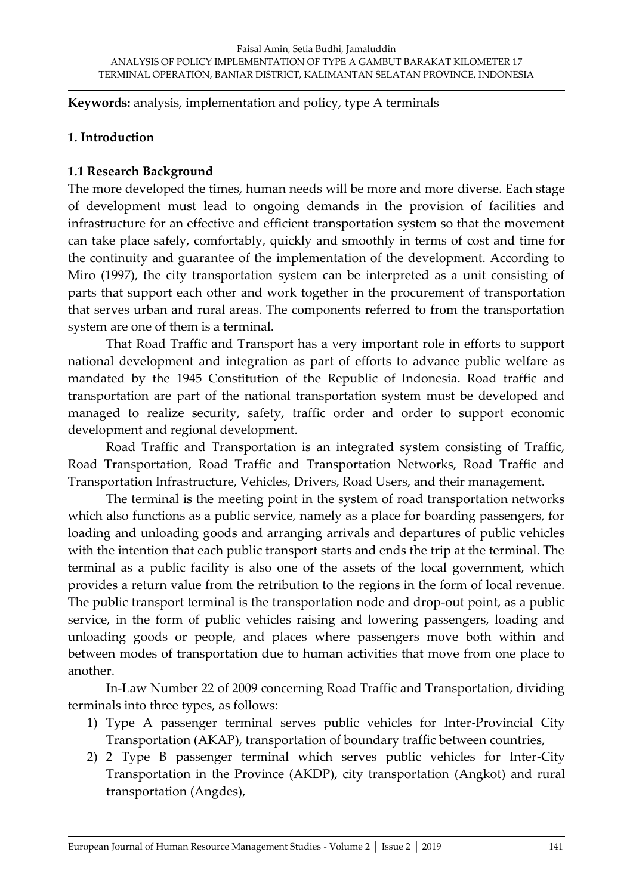**Keywords:** analysis, implementation and policy, type A terminals

### **1. Introduction**

#### **1.1 Research Background**

The more developed the times, human needs will be more and more diverse. Each stage of development must lead to ongoing demands in the provision of facilities and infrastructure for an effective and efficient transportation system so that the movement can take place safely, comfortably, quickly and smoothly in terms of cost and time for the continuity and guarantee of the implementation of the development. According to Miro (1997), the city transportation system can be interpreted as a unit consisting of parts that support each other and work together in the procurement of transportation that serves urban and rural areas. The components referred to from the transportation system are one of them is a terminal.

That Road Traffic and Transport has a very important role in efforts to support national development and integration as part of efforts to advance public welfare as mandated by the 1945 Constitution of the Republic of Indonesia. Road traffic and transportation are part of the national transportation system must be developed and managed to realize security, safety, traffic order and order to support economic development and regional development.

Road Traffic and Transportation is an integrated system consisting of Traffic, Road Transportation, Road Traffic and Transportation Networks, Road Traffic and Transportation Infrastructure, Vehicles, Drivers, Road Users, and their management.

The terminal is the meeting point in the system of road transportation networks which also functions as a public service, namely as a place for boarding passengers, for loading and unloading goods and arranging arrivals and departures of public vehicles with the intention that each public transport starts and ends the trip at the terminal. The terminal as a public facility is also one of the assets of the local government, which provides a return value from the retribution to the regions in the form of local revenue. The public transport terminal is the transportation node and drop-out point, as a public service, in the form of public vehicles raising and lowering passengers, loading and unloading goods or people, and places where passengers move both within and between modes of transportation due to human activities that move from one place to another.

In-Law Number 22 of 2009 concerning Road Traffic and Transportation, dividing terminals into three types, as follows:

- 1) Type A passenger terminal serves public vehicles for Inter-Provincial City Transportation (AKAP), transportation of boundary traffic between countries,
- 2) 2 Type B passenger terminal which serves public vehicles for Inter-City Transportation in the Province (AKDP), city transportation (Angkot) and rural transportation (Angdes),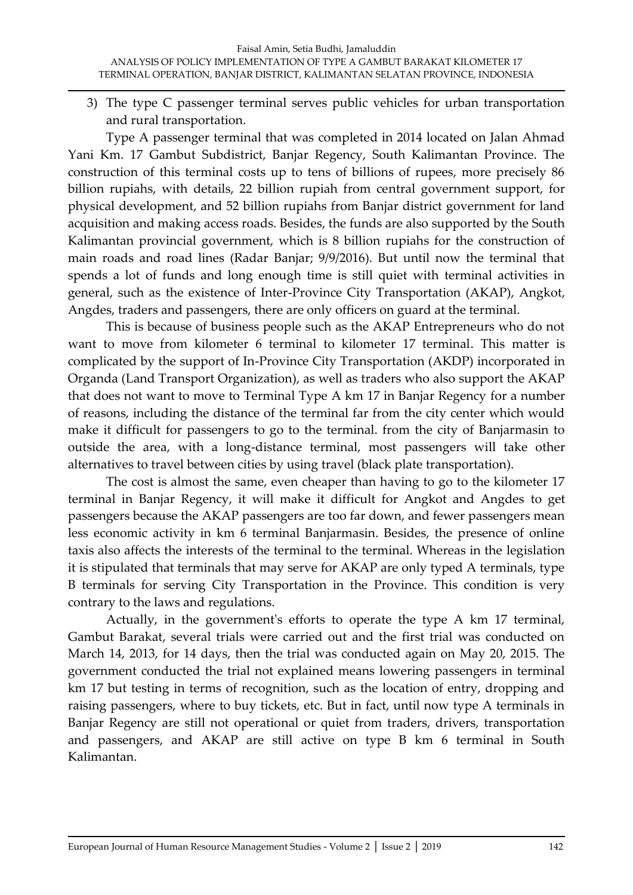3) The type C passenger terminal serves public vehicles for urban transportation and rural transportation.

Type A passenger terminal that was completed in 2014 located on Jalan Ahmad Yani Km. 17 Gambut Subdistrict, Banjar Regency, South Kalimantan Province. The construction of this terminal costs up to tens of billions of rupees, more precisely 86 billion rupiahs, with details, 22 billion rupiah from central government support, for physical development, and 52 billion rupiahs from Banjar district government for land acquisition and making access roads. Besides, the funds are also supported by the South Kalimantan provincial government, which is 8 billion rupiahs for the construction of main roads and road lines (Radar Banjar; 9/9/2016). But until now the terminal that spends a lot of funds and long enough time is still quiet with terminal activities in general, such as the existence of Inter-Province City Transportation (AKAP), Angkot, Angdes, traders and passengers, there are only officers on guard at the terminal.

This is because of business people such as the AKAP Entrepreneurs who do not want to move from kilometer 6 terminal to kilometer 17 terminal. This matter is complicated by the support of In-Province City Transportation (AKDP) incorporated in Organda (Land Transport Organization), as well as traders who also support the AKAP that does not want to move to Terminal Type A km 17 in Banjar Regency for a number of reasons, including the distance of the terminal far from the city center which would make it difficult for passengers to go to the terminal. from the city of Banjarmasin to outside the area, with a long-distance terminal, most passengers will take other alternatives to travel between cities by using travel (black plate transportation).

The cost is almost the same, even cheaper than having to go to the kilometer 17 terminal in Banjar Regency, it will make it difficult for Angkot and Angdes to get passengers because the AKAP passengers are too far down, and fewer passengers mean less economic activity in km 6 terminal Banjarmasin. Besides, the presence of online taxis also affects the interests of the terminal to the terminal. Whereas in the legislation it is stipulated that terminals that may serve for AKAP are only typed A terminals, type B terminals for serving City Transportation in the Province. This condition is very contrary to the laws and regulations.

Actually, in the government's efforts to operate the type A km 17 terminal, Gambut Barakat, several trials were carried out and the first trial was conducted on March 14, 2013, for 14 days, then the trial was conducted again on May 20, 2015. The government conducted the trial not explained means lowering passengers in terminal km 17 but testing in terms of recognition, such as the location of entry, dropping and raising passengers, where to buy tickets, etc. But in fact, until now type A terminals in Banjar Regency are still not operational or quiet from traders, drivers, transportation and passengers, and AKAP are still active on type B km 6 terminal in South Kalimantan.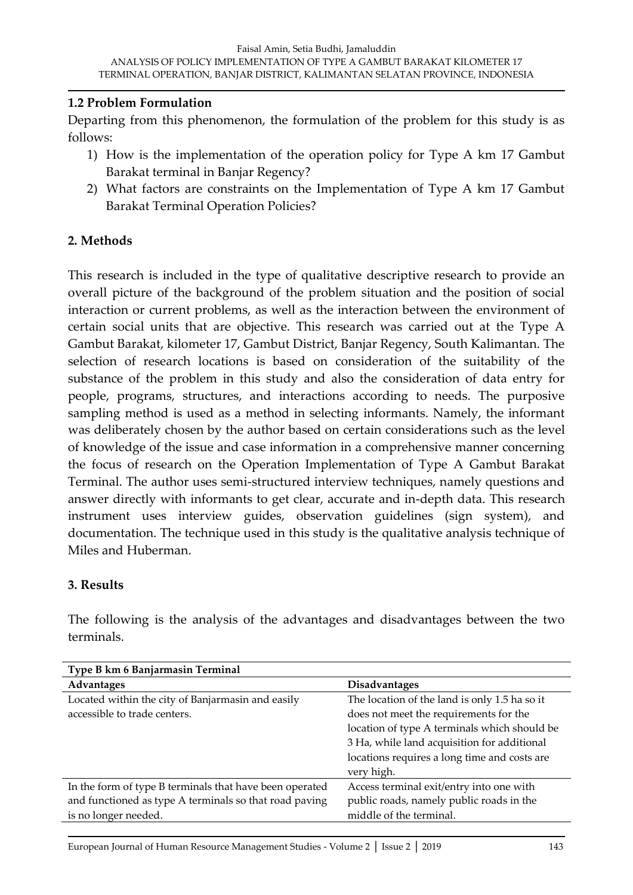#### **1.2 Problem Formulation**

Departing from this phenomenon, the formulation of the problem for this study is as follows:

- 1) How is the implementation of the operation policy for Type A km 17 Gambut Barakat terminal in Banjar Regency?
- 2) What factors are constraints on the Implementation of Type A km 17 Gambut Barakat Terminal Operation Policies?

## **2. Methods**

This research is included in the type of qualitative descriptive research to provide an overall picture of the background of the problem situation and the position of social interaction or current problems, as well as the interaction between the environment of certain social units that are objective. This research was carried out at the Type A Gambut Barakat, kilometer 17, Gambut District, Banjar Regency, South Kalimantan. The selection of research locations is based on consideration of the suitability of the substance of the problem in this study and also the consideration of data entry for people, programs, structures, and interactions according to needs. The purposive sampling method is used as a method in selecting informants. Namely, the informant was deliberately chosen by the author based on certain considerations such as the level of knowledge of the issue and case information in a comprehensive manner concerning the focus of research on the Operation Implementation of Type A Gambut Barakat Terminal. The author uses semi-structured interview techniques, namely questions and answer directly with informants to get clear, accurate and in-depth data. This research instrument uses interview guides, observation guidelines (sign system), and documentation. The technique used in this study is the qualitative analysis technique of Miles and Huberman.

#### **3. Results**

The following is the analysis of the advantages and disadvantages between the two terminals.

| Type B km 6 Banjarmasin Terminal                                                                                                          |                                                                                                                                                                                                                                                      |
|-------------------------------------------------------------------------------------------------------------------------------------------|------------------------------------------------------------------------------------------------------------------------------------------------------------------------------------------------------------------------------------------------------|
| Advantages                                                                                                                                | <b>Disadvantages</b>                                                                                                                                                                                                                                 |
| Located within the city of Banjarmasin and easily<br>accessible to trade centers.                                                         | The location of the land is only 1.5 ha so it<br>does not meet the requirements for the<br>location of type A terminals which should be<br>3 Ha, while land acquisition for additional<br>locations requires a long time and costs are<br>very high. |
| In the form of type B terminals that have been operated<br>and functioned as type A terminals so that road paving<br>is no longer needed. | Access terminal exit/entry into one with<br>public roads, namely public roads in the<br>middle of the terminal.                                                                                                                                      |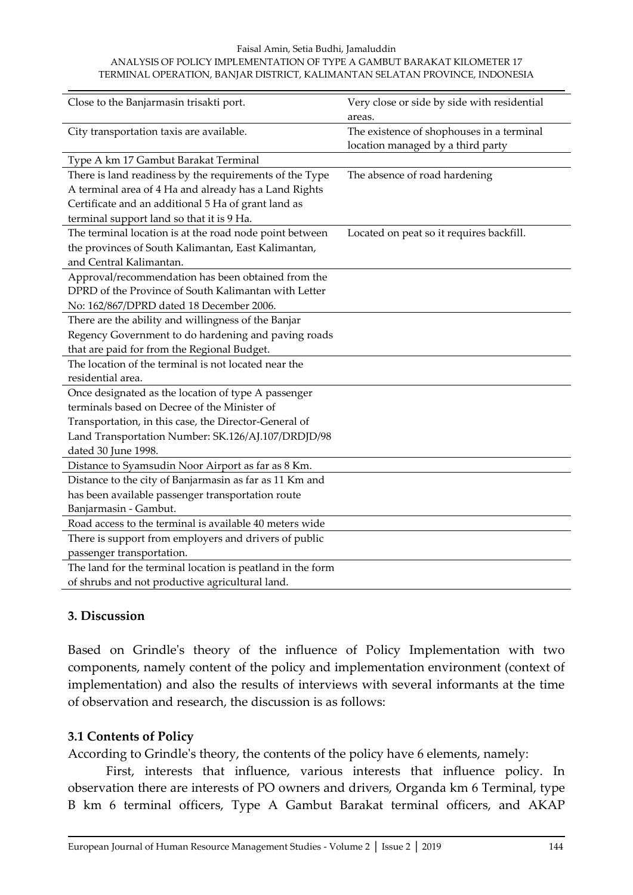#### Faisal Amin, Setia Budhi, Jamaluddin ANALYSIS OF POLICY IMPLEMENTATION OF TYPE A GAMBUT BARAKAT KILOMETER 17 TERMINAL OPERATION, BANJAR DISTRICT, KALIMANTAN SELATAN PROVINCE, INDONESIA

| Close to the Banjarmasin trisakti port.                    | Very close or side by side with residential<br>areas.                          |
|------------------------------------------------------------|--------------------------------------------------------------------------------|
| City transportation taxis are available.                   | The existence of shophouses in a terminal<br>location managed by a third party |
| Type A km 17 Gambut Barakat Terminal                       |                                                                                |
| There is land readiness by the requirements of the Type    | The absence of road hardening                                                  |
| A terminal area of 4 Ha and already has a Land Rights      |                                                                                |
| Certificate and an additional 5 Ha of grant land as        |                                                                                |
| terminal support land so that it is 9 Ha.                  |                                                                                |
| The terminal location is at the road node point between    | Located on peat so it requires backfill.                                       |
| the provinces of South Kalimantan, East Kalimantan,        |                                                                                |
| and Central Kalimantan.                                    |                                                                                |
| Approval/recommendation has been obtained from the         |                                                                                |
| DPRD of the Province of South Kalimantan with Letter       |                                                                                |
| No: 162/867/DPRD dated 18 December 2006.                   |                                                                                |
| There are the ability and willingness of the Banjar        |                                                                                |
| Regency Government to do hardening and paving roads        |                                                                                |
| that are paid for from the Regional Budget.                |                                                                                |
| The location of the terminal is not located near the       |                                                                                |
| residential area.                                          |                                                                                |
| Once designated as the location of type A passenger        |                                                                                |
| terminals based on Decree of the Minister of               |                                                                                |
| Transportation, in this case, the Director-General of      |                                                                                |
| Land Transportation Number: SK.126/AJ.107/DRDJD/98         |                                                                                |
| dated 30 June 1998.                                        |                                                                                |
| Distance to Syamsudin Noor Airport as far as 8 Km.         |                                                                                |
| Distance to the city of Banjarmasin as far as 11 Km and    |                                                                                |
| has been available passenger transportation route          |                                                                                |
| Banjarmasin - Gambut.                                      |                                                                                |
| Road access to the terminal is available 40 meters wide    |                                                                                |
| There is support from employers and drivers of public      |                                                                                |
| passenger transportation.                                  |                                                                                |
| The land for the terminal location is peatland in the form |                                                                                |
| of shrubs and not productive agricultural land.            |                                                                                |

#### **3. Discussion**

Based on Grindle's theory of the influence of Policy Implementation with two components, namely content of the policy and implementation environment (context of implementation) and also the results of interviews with several informants at the time of observation and research, the discussion is as follows:

#### **3.1 Contents of Policy**

According to Grindle's theory, the contents of the policy have 6 elements, namely:

First, interests that influence, various interests that influence policy. In observation there are interests of PO owners and drivers, Organda km 6 Terminal, type B km 6 terminal officers, Type A Gambut Barakat terminal officers, and AKAP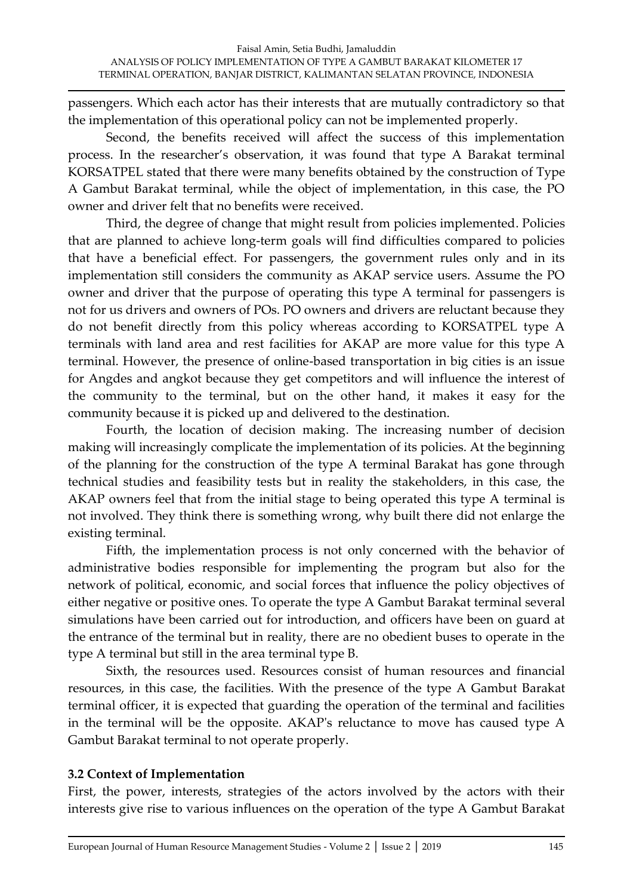passengers. Which each actor has their interests that are mutually contradictory so that the implementation of this operational policy can not be implemented properly.

Second, the benefits received will affect the success of this implementation process. In the researcher's observation, it was found that type A Barakat terminal KORSATPEL stated that there were many benefits obtained by the construction of Type A Gambut Barakat terminal, while the object of implementation, in this case, the PO owner and driver felt that no benefits were received.

Third, the degree of change that might result from policies implemented. Policies that are planned to achieve long-term goals will find difficulties compared to policies that have a beneficial effect. For passengers, the government rules only and in its implementation still considers the community as AKAP service users. Assume the PO owner and driver that the purpose of operating this type A terminal for passengers is not for us drivers and owners of POs. PO owners and drivers are reluctant because they do not benefit directly from this policy whereas according to KORSATPEL type A terminals with land area and rest facilities for AKAP are more value for this type A terminal. However, the presence of online-based transportation in big cities is an issue for Angdes and angkot because they get competitors and will influence the interest of the community to the terminal, but on the other hand, it makes it easy for the community because it is picked up and delivered to the destination.

Fourth, the location of decision making. The increasing number of decision making will increasingly complicate the implementation of its policies. At the beginning of the planning for the construction of the type A terminal Barakat has gone through technical studies and feasibility tests but in reality the stakeholders, in this case, the AKAP owners feel that from the initial stage to being operated this type A terminal is not involved. They think there is something wrong, why built there did not enlarge the existing terminal.

Fifth, the implementation process is not only concerned with the behavior of administrative bodies responsible for implementing the program but also for the network of political, economic, and social forces that influence the policy objectives of either negative or positive ones. To operate the type A Gambut Barakat terminal several simulations have been carried out for introduction, and officers have been on guard at the entrance of the terminal but in reality, there are no obedient buses to operate in the type A terminal but still in the area terminal type B.

Sixth, the resources used. Resources consist of human resources and financial resources, in this case, the facilities. With the presence of the type A Gambut Barakat terminal officer, it is expected that guarding the operation of the terminal and facilities in the terminal will be the opposite. AKAP's reluctance to move has caused type A Gambut Barakat terminal to not operate properly.

# **3.2 Context of Implementation**

First, the power, interests, strategies of the actors involved by the actors with their interests give rise to various influences on the operation of the type A Gambut Barakat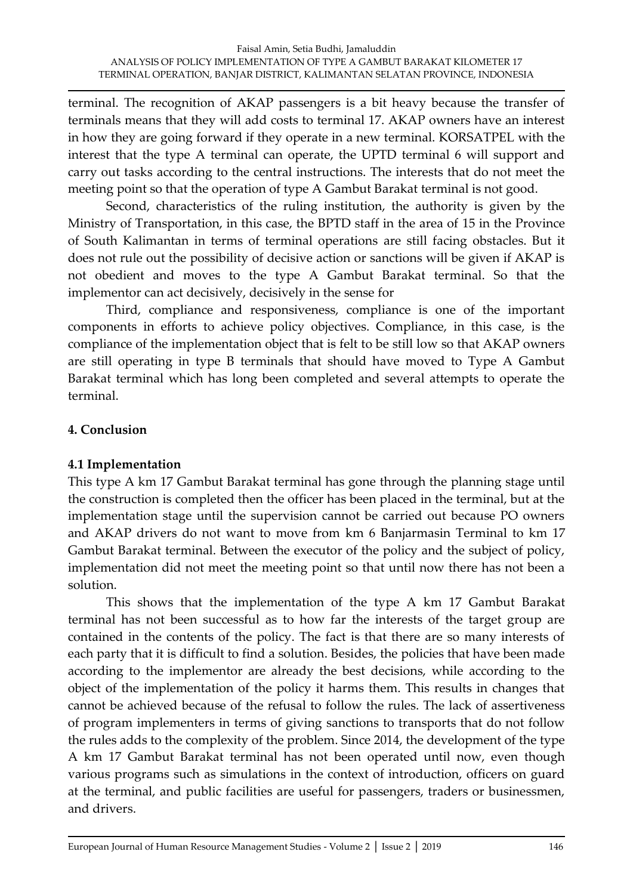terminal. The recognition of AKAP passengers is a bit heavy because the transfer of terminals means that they will add costs to terminal 17. AKAP owners have an interest in how they are going forward if they operate in a new terminal. KORSATPEL with the interest that the type A terminal can operate, the UPTD terminal 6 will support and carry out tasks according to the central instructions. The interests that do not meet the meeting point so that the operation of type A Gambut Barakat terminal is not good.

Second, characteristics of the ruling institution, the authority is given by the Ministry of Transportation, in this case, the BPTD staff in the area of 15 in the Province of South Kalimantan in terms of terminal operations are still facing obstacles. But it does not rule out the possibility of decisive action or sanctions will be given if AKAP is not obedient and moves to the type A Gambut Barakat terminal. So that the implementor can act decisively, decisively in the sense for

Third, compliance and responsiveness, compliance is one of the important components in efforts to achieve policy objectives. Compliance, in this case, is the compliance of the implementation object that is felt to be still low so that AKAP owners are still operating in type B terminals that should have moved to Type A Gambut Barakat terminal which has long been completed and several attempts to operate the terminal.

# **4. Conclusion**

# **4.1 Implementation**

This type A km 17 Gambut Barakat terminal has gone through the planning stage until the construction is completed then the officer has been placed in the terminal, but at the implementation stage until the supervision cannot be carried out because PO owners and AKAP drivers do not want to move from km 6 Banjarmasin Terminal to km 17 Gambut Barakat terminal. Between the executor of the policy and the subject of policy, implementation did not meet the meeting point so that until now there has not been a solution.

This shows that the implementation of the type A km 17 Gambut Barakat terminal has not been successful as to how far the interests of the target group are contained in the contents of the policy. The fact is that there are so many interests of each party that it is difficult to find a solution. Besides, the policies that have been made according to the implementor are already the best decisions, while according to the object of the implementation of the policy it harms them. This results in changes that cannot be achieved because of the refusal to follow the rules. The lack of assertiveness of program implementers in terms of giving sanctions to transports that do not follow the rules adds to the complexity of the problem. Since 2014, the development of the type A km 17 Gambut Barakat terminal has not been operated until now, even though various programs such as simulations in the context of introduction, officers on guard at the terminal, and public facilities are useful for passengers, traders or businessmen, and drivers.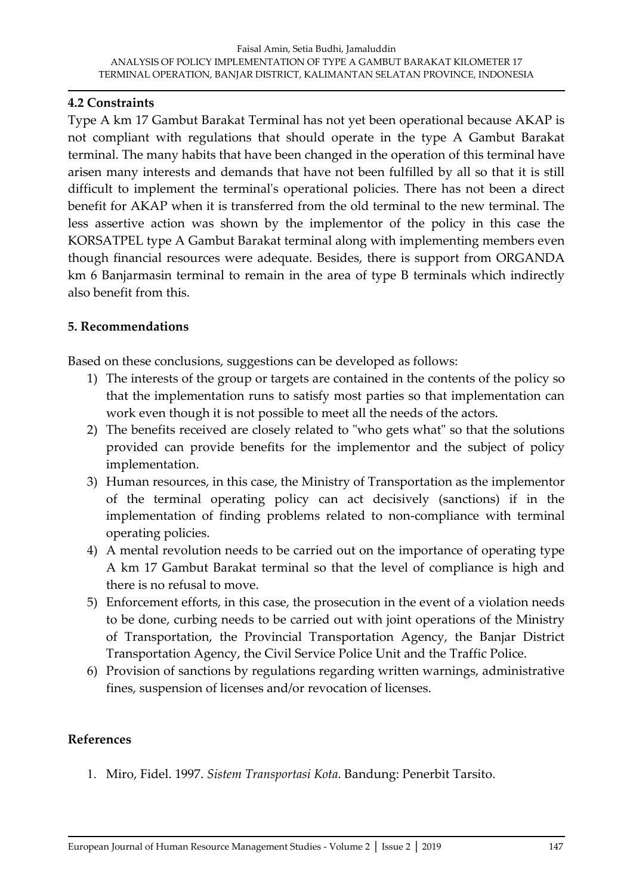#### **4.2 Constraints**

Type A km 17 Gambut Barakat Terminal has not yet been operational because AKAP is not compliant with regulations that should operate in the type A Gambut Barakat terminal. The many habits that have been changed in the operation of this terminal have arisen many interests and demands that have not been fulfilled by all so that it is still difficult to implement the terminal's operational policies. There has not been a direct benefit for AKAP when it is transferred from the old terminal to the new terminal. The less assertive action was shown by the implementor of the policy in this case the KORSATPEL type A Gambut Barakat terminal along with implementing members even though financial resources were adequate. Besides, there is support from ORGANDA km 6 Banjarmasin terminal to remain in the area of type B terminals which indirectly also benefit from this.

#### **5. Recommendations**

Based on these conclusions, suggestions can be developed as follows:

- 1) The interests of the group or targets are contained in the contents of the policy so that the implementation runs to satisfy most parties so that implementation can work even though it is not possible to meet all the needs of the actors.
- 2) The benefits received are closely related to "who gets what" so that the solutions provided can provide benefits for the implementor and the subject of policy implementation.
- 3) Human resources, in this case, the Ministry of Transportation as the implementor of the terminal operating policy can act decisively (sanctions) if in the implementation of finding problems related to non-compliance with terminal operating policies.
- 4) A mental revolution needs to be carried out on the importance of operating type A km 17 Gambut Barakat terminal so that the level of compliance is high and there is no refusal to move.
- 5) Enforcement efforts, in this case, the prosecution in the event of a violation needs to be done, curbing needs to be carried out with joint operations of the Ministry of Transportation, the Provincial Transportation Agency, the Banjar District Transportation Agency, the Civil Service Police Unit and the Traffic Police.
- 6) Provision of sanctions by regulations regarding written warnings, administrative fines, suspension of licenses and/or revocation of licenses.

#### **References**

1. Miro, Fidel. 1997. *Sistem Transportasi Kota*. Bandung: Penerbit Tarsito.